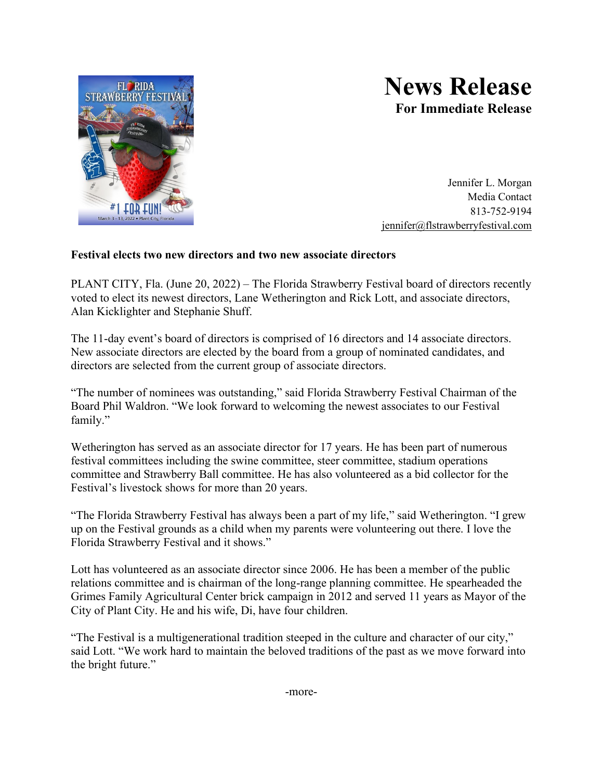

## **News Release For Immediate Release**

Jennifer L. Morgan Media Contact 813-752-9194 [jennifer@flstrawberryfestival.com](mailto:jennifer@flstrawberryfestival.com)

## **Festival elects two new directors and two new associate directors**

PLANT CITY, Fla. (June 20, 2022) – The Florida Strawberry Festival board of directors recently voted to elect its newest directors, Lane Wetherington and Rick Lott, and associate directors, Alan Kicklighter and Stephanie Shuff.

The 11-day event's board of directors is comprised of 16 directors and 14 associate directors. New associate directors are elected by the board from a group of nominated candidates, and directors are selected from the current group of associate directors.

"The number of nominees was outstanding," said Florida Strawberry Festival Chairman of the Board Phil Waldron. "We look forward to welcoming the newest associates to our Festival family."

Wetherington has served as an associate director for 17 years. He has been part of numerous festival committees including the swine committee, steer committee, stadium operations committee and Strawberry Ball committee. He has also volunteered as a bid collector for the Festival's livestock shows for more than 20 years.

"The Florida Strawberry Festival has always been a part of my life," said Wetherington. "I grew up on the Festival grounds as a child when my parents were volunteering out there. I love the Florida Strawberry Festival and it shows."

Lott has volunteered as an associate director since 2006. He has been a member of the public relations committee and is chairman of the long-range planning committee. He spearheaded the Grimes Family Agricultural Center brick campaign in 2012 and served 11 years as Mayor of the City of Plant City. He and his wife, Di, have four children.

"The Festival is a multigenerational tradition steeped in the culture and character of our city," said Lott. "We work hard to maintain the beloved traditions of the past as we move forward into the bright future."